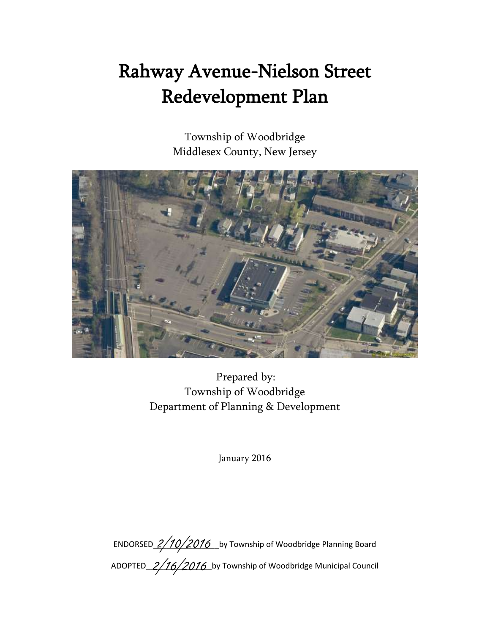# Rahway Avenue-Nielson Street Redevelopment Plan

Township of Woodbridge Middlesex County, New Jersey



Prepared by: Township of Woodbridge Department of Planning & Development

January 2016

ENDORSED\_2/10/2016 \_by Township of Woodbridge Planning Board ADOPTED\_2/16/2016\_by Township of Woodbridge Municipal Council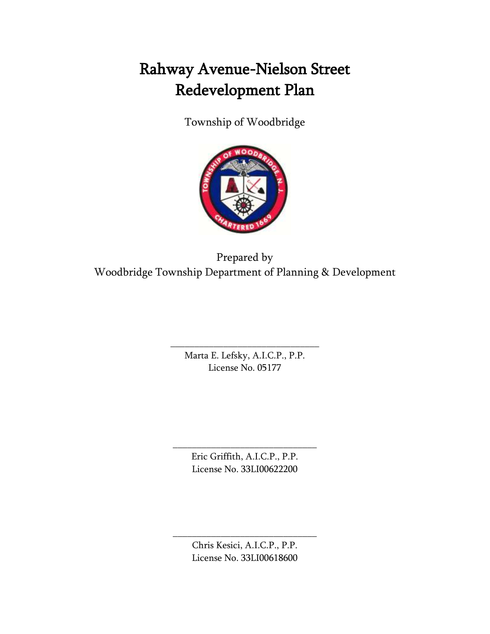## Rahway Avenue-Nielson Street Redevelopment Plan

Township of Woodbridge



Prepared by Woodbridge Township Department of Planning & Development

> Marta E. Lefsky, A.I.C.P., P.P. License No. 05177

\_\_\_\_\_\_\_\_\_\_\_\_\_\_\_\_\_\_\_\_\_\_\_\_\_\_\_\_\_\_\_

Eric Griffith, A.I.C.P., P.P. License No. 33LI00622200

\_\_\_\_\_\_\_\_\_\_\_\_\_\_\_\_\_\_\_\_\_\_\_\_\_\_\_\_\_\_

Chris Kesici, A.I.C.P., P.P. License No. 33LI00618600

\_\_\_\_\_\_\_\_\_\_\_\_\_\_\_\_\_\_\_\_\_\_\_\_\_\_\_\_\_\_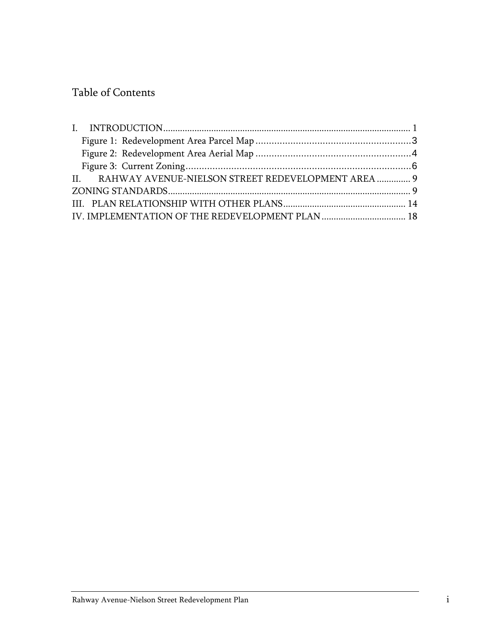## Table of Contents

| II. RAHWAY AVENUE-NIELSON STREET REDEVELOPMENT AREA  9 |  |
|--------------------------------------------------------|--|
|                                                        |  |
|                                                        |  |
| IV. IMPLEMENTATION OF THE REDEVELOPMENT PLAN  18       |  |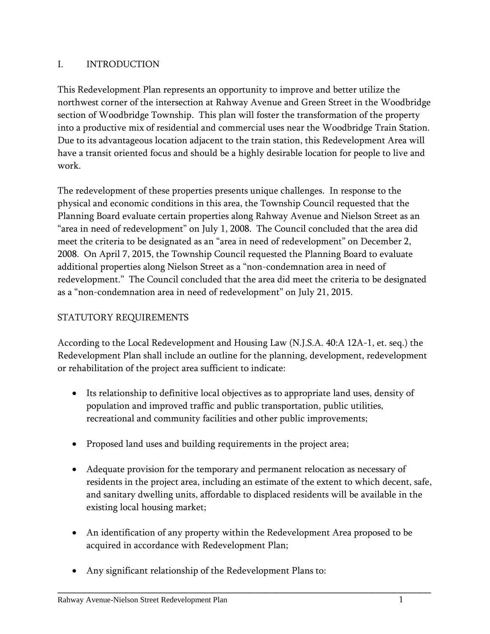## <span id="page-3-0"></span>I. INTRODUCTION

This Redevelopment Plan represents an opportunity to improve and better utilize the northwest corner of the intersection at Rahway Avenue and Green Street in the Woodbridge section of Woodbridge Township. This plan will foster the transformation of the property into a productive mix of residential and commercial uses near the Woodbridge Train Station. Due to its advantageous location adjacent to the train station, this Redevelopment Area will have a transit oriented focus and should be a highly desirable location for people to live and work.

The redevelopment of these properties presents unique challenges. In response to the physical and economic conditions in this area, the Township Council requested that the Planning Board evaluate certain properties along Rahway Avenue and Nielson Street as an "area in need of redevelopment" on July 1, 2008. The Council concluded that the area did meet the criteria to be designated as an "area in need of redevelopment" on December 2, 2008. On April 7, 2015, the Township Council requested the Planning Board to evaluate additional properties along Nielson Street as a "non-condemnation area in need of redevelopment." The Council concluded that the area did meet the criteria to be designated as a "non-condemnation area in need of redevelopment" on July 21, 2015.

## STATUTORY REQUIREMENTS

According to the Local Redevelopment and Housing Law (N.J.S.A. 40:A 12A-1, et. seq.) the Redevelopment Plan shall include an outline for the planning, development, redevelopment or rehabilitation of the project area sufficient to indicate:

- Its relationship to definitive local objectives as to appropriate land uses, density of population and improved traffic and public transportation, public utilities, recreational and community facilities and other public improvements;
- Proposed land uses and building requirements in the project area;
- Adequate provision for the temporary and permanent relocation as necessary of residents in the project area, including an estimate of the extent to which decent, safe, and sanitary dwelling units, affordable to displaced residents will be available in the existing local housing market;
- An identification of any property within the Redevelopment Area proposed to be acquired in accordance with Redevelopment Plan;

\_\_\_\_\_\_\_\_\_\_\_\_\_\_\_\_\_\_\_\_\_\_\_\_\_\_\_\_\_\_\_\_\_\_\_\_\_\_\_\_\_\_\_\_\_\_\_\_\_\_\_\_\_\_\_\_\_\_\_\_\_\_\_\_\_\_\_\_\_\_

Any significant relationship of the Redevelopment Plans to: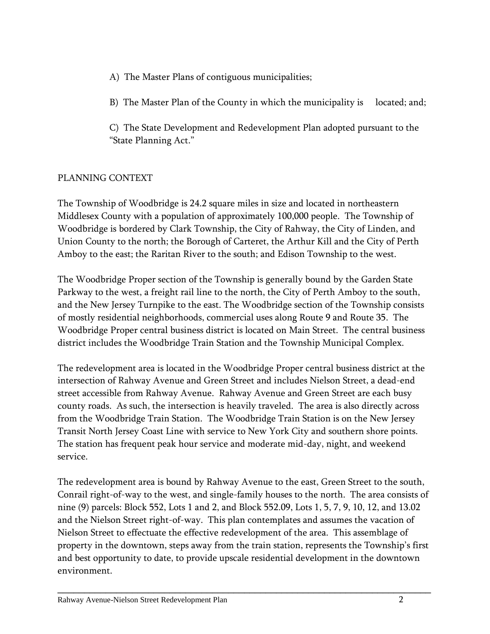- A) The Master Plans of contiguous municipalities;
- B) The Master Plan of the County in which the municipality is located; and;
- C) The State Development and Redevelopment Plan adopted pursuant to the "State Planning Act."

## PLANNING CONTEXT

The Township of Woodbridge is 24.2 square miles in size and located in northeastern Middlesex County with a population of approximately 100,000 people. The Township of Woodbridge is bordered by Clark Township, the City of Rahway, the City of Linden, and Union County to the north; the Borough of Carteret, the Arthur Kill and the City of Perth Amboy to the east; the Raritan River to the south; and Edison Township to the west.

The Woodbridge Proper section of the Township is generally bound by the Garden State Parkway to the west, a freight rail line to the north, the City of Perth Amboy to the south, and the New Jersey Turnpike to the east. The Woodbridge section of the Township consists of mostly residential neighborhoods, commercial uses along Route 9 and Route 35. The Woodbridge Proper central business district is located on Main Street. The central business district includes the Woodbridge Train Station and the Township Municipal Complex.

The redevelopment area is located in the Woodbridge Proper central business district at the intersection of Rahway Avenue and Green Street and includes Nielson Street, a dead-end street accessible from Rahway Avenue. Rahway Avenue and Green Street are each busy county roads. As such, the intersection is heavily traveled. The area is also directly across from the Woodbridge Train Station. The Woodbridge Train Station is on the New Jersey Transit North Jersey Coast Line with service to New York City and southern shore points. The station has frequent peak hour service and moderate mid-day, night, and weekend service.

The redevelopment area is bound by Rahway Avenue to the east, Green Street to the south, Conrail right-of-way to the west, and single-family houses to the north. The area consists of nine (9) parcels: Block 552, Lots 1 and 2, and Block 552.09, Lots 1, 5, 7, 9, 10, 12, and 13.02 and the Nielson Street right-of-way. This plan contemplates and assumes the vacation of Nielson Street to effectuate the effective redevelopment of the area. This assemblage of property in the downtown, steps away from the train station, represents the Township's first and best opportunity to date, to provide upscale residential development in the downtown environment.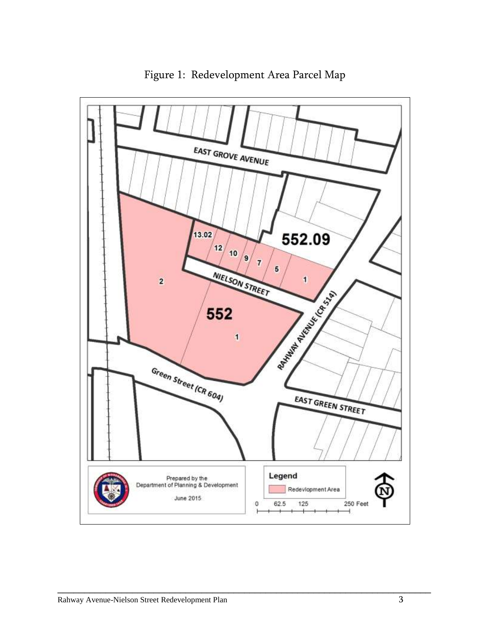<span id="page-5-0"></span>

Figure 1: Redevelopment Area Parcel Map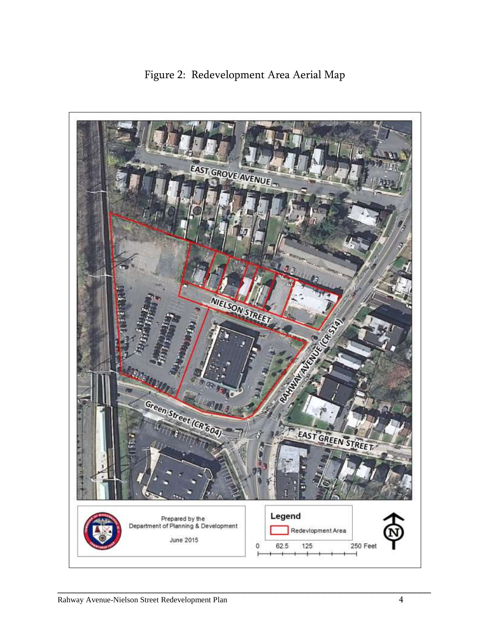<span id="page-6-0"></span>

Figure 2: Redevelopment Area Aerial Map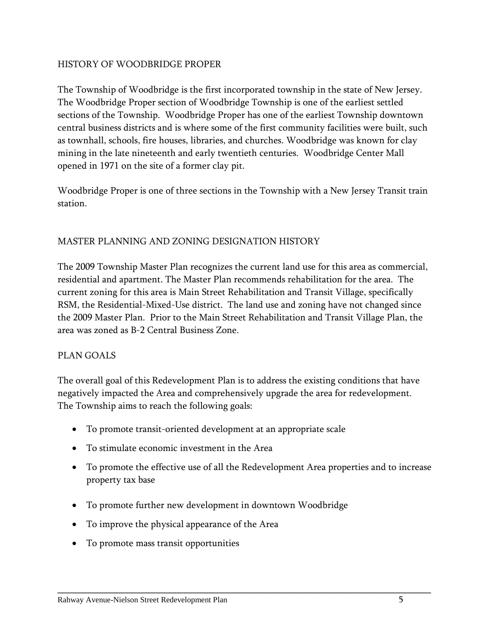#### HISTORY OF WOODBRIDGE PROPER

The Township of Woodbridge is the first incorporated township in the state of New Jersey. The Woodbridge Proper section of Woodbridge Township is one of the earliest settled sections of the Township. Woodbridge Proper has one of the earliest Township downtown central business districts and is where some of the first community facilities were built, such as townhall, schools, fire houses, libraries, and churches. Woodbridge was known for clay mining in the late nineteenth and early twentieth centuries. Woodbridge Center Mall opened in 1971 on the site of a former clay pit.

Woodbridge Proper is one of three sections in the Township with a New Jersey Transit train station.

#### MASTER PLANNING AND ZONING DESIGNATION HISTORY

The 2009 Township Master Plan recognizes the current land use for this area as commercial, residential and apartment. The Master Plan recommends rehabilitation for the area. The current zoning for this area is Main Street Rehabilitation and Transit Village, specifically RSM, the Residential-Mixed-Use district. The land use and zoning have not changed since the 2009 Master Plan. Prior to the Main Street Rehabilitation and Transit Village Plan, the area was zoned as B-2 Central Business Zone.

#### PLAN GOALS

The overall goal of this Redevelopment Plan is to address the existing conditions that have negatively impacted the Area and comprehensively upgrade the area for redevelopment. The Township aims to reach the following goals:

- To promote transit-oriented development at an appropriate scale
- To stimulate economic investment in the Area
- To promote the effective use of all the Redevelopment Area properties and to increase property tax base

- To promote further new development in downtown Woodbridge
- To improve the physical appearance of the Area
- To promote mass transit opportunities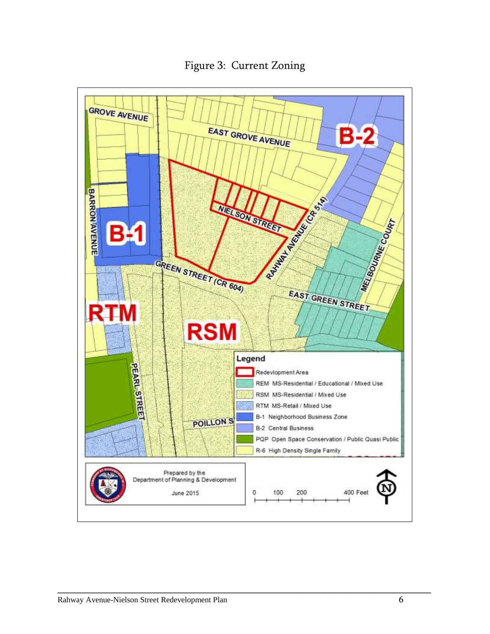<span id="page-8-0"></span>

Figure 3: Current Zoning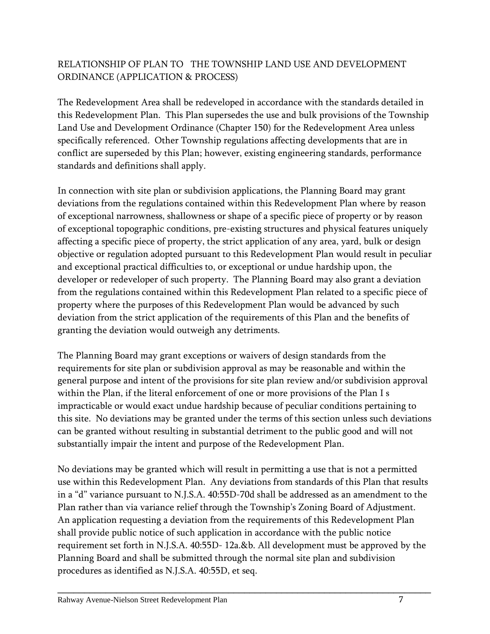## RELATIONSHIP OF PLAN TO THE TOWNSHIP LAND USE AND DEVELOPMENT ORDINANCE (APPLICATION & PROCESS)

The Redevelopment Area shall be redeveloped in accordance with the standards detailed in this Redevelopment Plan. This Plan supersedes the use and bulk provisions of the Township Land Use and Development Ordinance (Chapter 150) for the Redevelopment Area unless specifically referenced. Other Township regulations affecting developments that are in conflict are superseded by this Plan; however, existing engineering standards, performance standards and definitions shall apply.

In connection with site plan or subdivision applications, the Planning Board may grant deviations from the regulations contained within this Redevelopment Plan where by reason of exceptional narrowness, shallowness or shape of a specific piece of property or by reason of exceptional topographic conditions, pre-existing structures and physical features uniquely affecting a specific piece of property, the strict application of any area, yard, bulk or design objective or regulation adopted pursuant to this Redevelopment Plan would result in peculiar and exceptional practical difficulties to, or exceptional or undue hardship upon, the developer or redeveloper of such property. The Planning Board may also grant a deviation from the regulations contained within this Redevelopment Plan related to a specific piece of property where the purposes of this Redevelopment Plan would be advanced by such deviation from the strict application of the requirements of this Plan and the benefits of granting the deviation would outweigh any detriments.

The Planning Board may grant exceptions or waivers of design standards from the requirements for site plan or subdivision approval as may be reasonable and within the general purpose and intent of the provisions for site plan review and/or subdivision approval within the Plan, if the literal enforcement of one or more provisions of the Plan I s impracticable or would exact undue hardship because of peculiar conditions pertaining to this site. No deviations may be granted under the terms of this section unless such deviations can be granted without resulting in substantial detriment to the public good and will not substantially impair the intent and purpose of the Redevelopment Plan.

No deviations may be granted which will result in permitting a use that is not a permitted use within this Redevelopment Plan. Any deviations from standards of this Plan that results in a "d" variance pursuant to N.J.S.A. 40:55D-70d shall be addressed as an amendment to the Plan rather than via variance relief through the Township's Zoning Board of Adjustment. An application requesting a deviation from the requirements of this Redevelopment Plan shall provide public notice of such application in accordance with the public notice requirement set forth in N.J.S.A. 40:55D- 12a.&b. All development must be approved by the Planning Board and shall be submitted through the normal site plan and subdivision procedures as identified as N.J.S.A. 40:55D, et seq.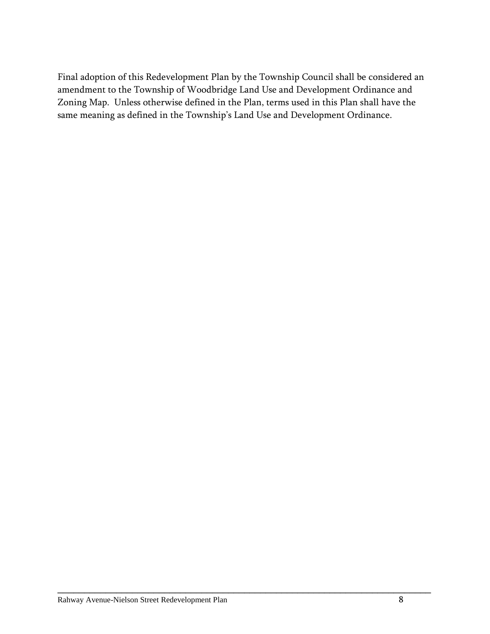Final adoption of this Redevelopment Plan by the Township Council shall be considered an amendment to the Township of Woodbridge Land Use and Development Ordinance and Zoning Map. Unless otherwise defined in the Plan, terms used in this Plan shall have the same meaning as defined in the Township's Land Use and Development Ordinance.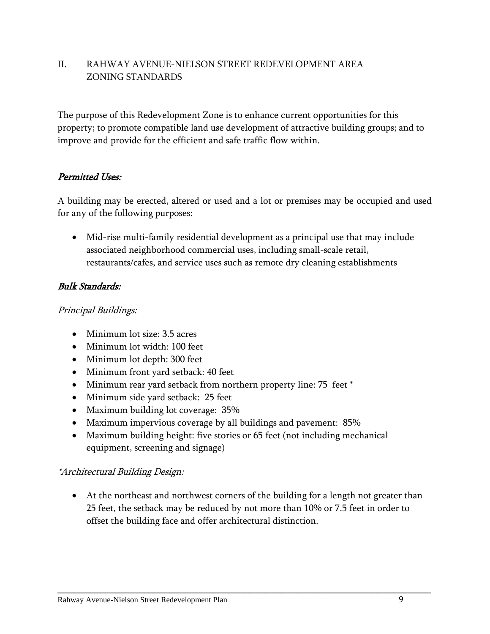## <span id="page-11-1"></span><span id="page-11-0"></span>II. RAHWAY AVENUE-NIELSON STREET REDEVELOPMENT AREA ZONING STANDARDS

The purpose of this Redevelopment Zone is to enhance current opportunities for this property; to promote compatible land use development of attractive building groups; and to improve and provide for the efficient and safe traffic flow within.

## Permitted Uses:

A building may be erected, altered or used and a lot or premises may be occupied and used for any of the following purposes:

 Mid-rise multi-family residential development as a principal use that may include associated neighborhood commercial uses, including small-scale retail, restaurants/cafes, and service uses such as remote dry cleaning establishments

#### Bulk Standards:

#### Principal Buildings:

- Minimum lot size: 3.5 acres
- Minimum lot width: 100 feet
- Minimum lot depth: 300 feet
- Minimum front yard setback: 40 feet
- Minimum rear yard setback from northern property line: 75 feet \*
- Minimum side yard setback: 25 feet
- Maximum building lot coverage: 35%
- Maximum impervious coverage by all buildings and pavement: 85%
- Maximum building height: five stories or 65 feet (not including mechanical equipment, screening and signage)

#### \*Architectural Building Design:

 At the northeast and northwest corners of the building for a length not greater than 25 feet, the setback may be reduced by not more than 10% or 7.5 feet in order to offset the building face and offer architectural distinction.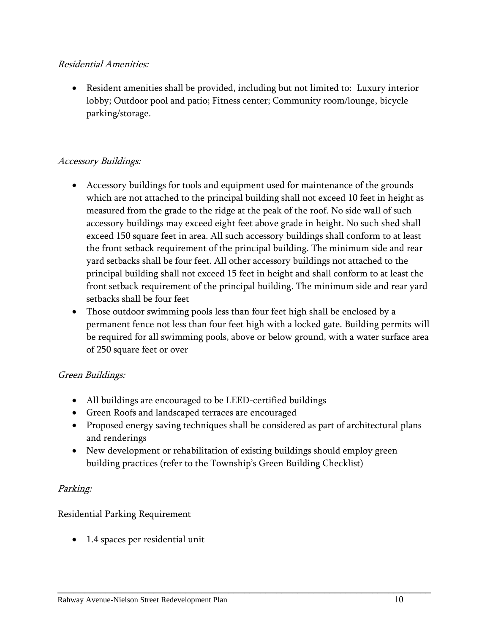## Residential Amenities:

 Resident amenities shall be provided, including but not limited to: Luxury interior lobby; Outdoor pool and patio; Fitness center; Community room/lounge, bicycle parking/storage.

## Accessory Buildings:

- Accessory buildings for tools and equipment used for maintenance of the grounds which are not attached to the principal building shall not exceed 10 feet in height as measured from the grade to the ridge at the peak of the roof. No side wall of such accessory buildings may exceed eight feet above grade in height. No such shed shall exceed 150 square feet in area. All such accessory buildings shall conform to at least the front setback requirement of the principal building. The minimum side and rear yard setbacks shall be four feet. All other accessory buildings not attached to the principal building shall not exceed 15 feet in height and shall conform to at least the front setback requirement of the principal building. The minimum side and rear yard setbacks shall be four feet
- Those outdoor swimming pools less than four feet high shall be enclosed by a permanent fence not less than four feet high with a locked gate. Building permits will be required for all swimming pools, above or below ground, with a water surface area of 250 square feet or over

## Green Buildings:

- All buildings are encouraged to be LEED-certified buildings
- Green Roofs and landscaped terraces are encouraged
- Proposed energy saving techniques shall be considered as part of architectural plans and renderings

\_\_\_\_\_\_\_\_\_\_\_\_\_\_\_\_\_\_\_\_\_\_\_\_\_\_\_\_\_\_\_\_\_\_\_\_\_\_\_\_\_\_\_\_\_\_\_\_\_\_\_\_\_\_\_\_\_\_\_\_\_\_\_\_\_\_\_\_\_\_

 New development or rehabilitation of existing buildings should employ green building practices (refer to the Township's Green Building Checklist)

## Parking:

## Residential Parking Requirement

• 1.4 spaces per residential unit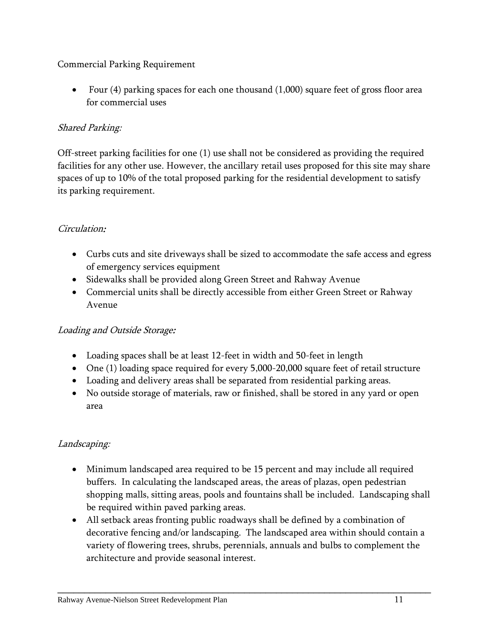## Commercial Parking Requirement

 Four (4) parking spaces for each one thousand (1,000) square feet of gross floor area for commercial uses

## Shared Parking:

Off-street parking facilities for one (1) use shall not be considered as providing the required facilities for any other use. However, the ancillary retail uses proposed for this site may share spaces of up to 10% of the total proposed parking for the residential development to satisfy its parking requirement.

## Circulation:

- Curbs cuts and site driveways shall be sized to accommodate the safe access and egress of emergency services equipment
- Sidewalks shall be provided along Green Street and Rahway Avenue
- Commercial units shall be directly accessible from either Green Street or Rahway Avenue

## Loading and Outside Storage:

- Loading spaces shall be at least 12-feet in width and 50-feet in length
- One (1) loading space required for every 5,000-20,000 square feet of retail structure
- Loading and delivery areas shall be separated from residential parking areas.
- No outside storage of materials, raw or finished, shall be stored in any yard or open area

## Landscaping:

- Minimum landscaped area required to be 15 percent and may include all required buffers. In calculating the landscaped areas, the areas of plazas, open pedestrian shopping malls, sitting areas, pools and fountains shall be included. Landscaping shall be required within paved parking areas.
- All setback areas fronting public roadways shall be defined by a combination of decorative fencing and/or landscaping. The landscaped area within should contain a variety of flowering trees, shrubs, perennials, annuals and bulbs to complement the architecture and provide seasonal interest.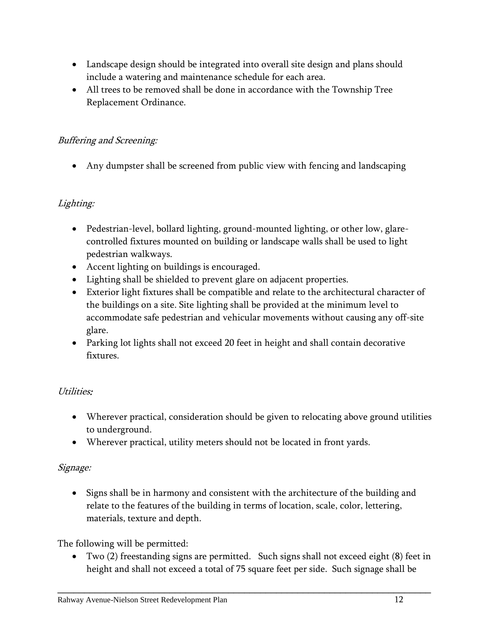- Landscape design should be integrated into overall site design and plans should include a watering and maintenance schedule for each area.
- All trees to be removed shall be done in accordance with the Township Tree Replacement Ordinance.

## Buffering and Screening:

Any dumpster shall be screened from public view with fencing and landscaping

## Lighting:

- Pedestrian-level, bollard lighting, ground-mounted lighting, or other low, glarecontrolled fixtures mounted on building or landscape walls shall be used to light pedestrian walkways.
- Accent lighting on buildings is encouraged.
- Lighting shall be shielded to prevent glare on adjacent properties.
- Exterior light fixtures shall be compatible and relate to the architectural character of the buildings on a site. Site lighting shall be provided at the minimum level to accommodate safe pedestrian and vehicular movements without causing any off-site glare.
- Parking lot lights shall not exceed 20 feet in height and shall contain decorative fixtures.

## Utilities:

- Wherever practical, consideration should be given to relocating above ground utilities to underground.
- Wherever practical, utility meters should not be located in front yards.

## Signage:

• Signs shall be in harmony and consistent with the architecture of the building and relate to the features of the building in terms of location, scale, color, lettering, materials, texture and depth.

The following will be permitted:

 Two (2) freestanding signs are permitted. Such signs shall not exceed eight (8) feet in height and shall not exceed a total of 75 square feet per side. Such signage shall be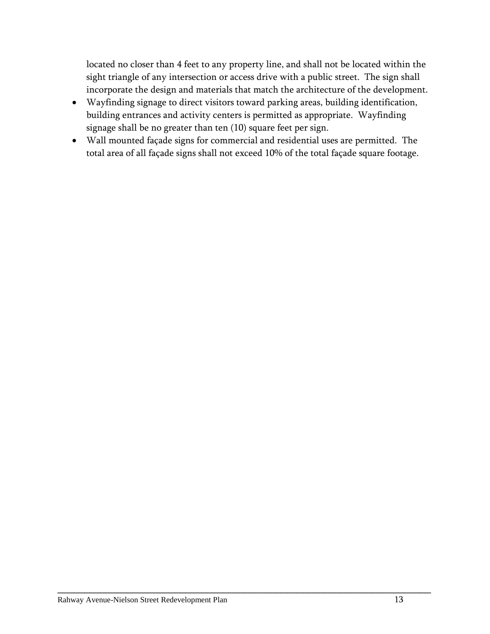located no closer than 4 feet to any property line, and shall not be located within the sight triangle of any intersection or access drive with a public street. The sign shall incorporate the design and materials that match the architecture of the development.

- Wayfinding signage to direct visitors toward parking areas, building identification, building entrances and activity centers is permitted as appropriate. Wayfinding signage shall be no greater than ten (10) square feet per sign.
- Wall mounted façade signs for commercial and residential uses are permitted. The total area of all façade signs shall not exceed 10% of the total façade square footage.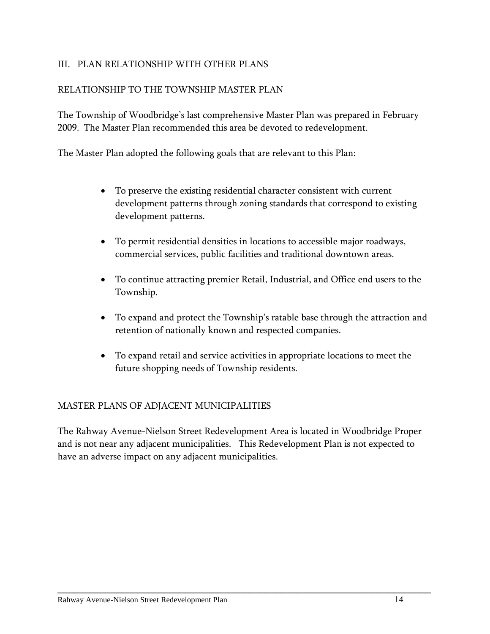## <span id="page-16-0"></span>III. PLAN RELATIONSHIP WITH OTHER PLANS

#### RELATIONSHIP TO THE TOWNSHIP MASTER PLAN

The Township of Woodbridge's last comprehensive Master Plan was prepared in February 2009. The Master Plan recommended this area be devoted to redevelopment.

The Master Plan adopted the following goals that are relevant to this Plan:

- To preserve the existing residential character consistent with current development patterns through zoning standards that correspond to existing development patterns.
- To permit residential densities in locations to accessible major roadways, commercial services, public facilities and traditional downtown areas.
- To continue attracting premier Retail, Industrial, and Office end users to the Township.
- To expand and protect the Township's ratable base through the attraction and retention of nationally known and respected companies.
- To expand retail and service activities in appropriate locations to meet the future shopping needs of Township residents.

#### MASTER PLANS OF ADJACENT MUNICIPALITIES

The Rahway Avenue-Nielson Street Redevelopment Area is located in Woodbridge Proper and is not near any adjacent municipalities. This Redevelopment Plan is not expected to have an adverse impact on any adjacent municipalities.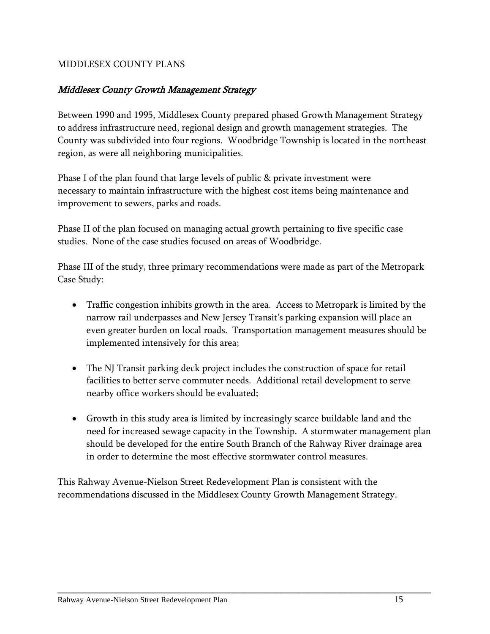## MIDDLESEX COUNTY PLANS

#### Middlesex County Growth Management Strategy

Between 1990 and 1995, Middlesex County prepared phased Growth Management Strategy to address infrastructure need, regional design and growth management strategies. The County was subdivided into four regions. Woodbridge Township is located in the northeast region, as were all neighboring municipalities.

Phase I of the plan found that large levels of public & private investment were necessary to maintain infrastructure with the highest cost items being maintenance and improvement to sewers, parks and roads.

Phase II of the plan focused on managing actual growth pertaining to five specific case studies. None of the case studies focused on areas of Woodbridge.

Phase III of the study, three primary recommendations were made as part of the Metropark Case Study:

- Traffic congestion inhibits growth in the area. Access to Metropark is limited by the narrow rail underpasses and New Jersey Transit's parking expansion will place an even greater burden on local roads. Transportation management measures should be implemented intensively for this area;
- The NJ Transit parking deck project includes the construction of space for retail facilities to better serve commuter needs. Additional retail development to serve nearby office workers should be evaluated;
- Growth in this study area is limited by increasingly scarce buildable land and the need for increased sewage capacity in the Township. A stormwater management plan should be developed for the entire South Branch of the Rahway River drainage area in order to determine the most effective stormwater control measures.

This Rahway Avenue-Nielson Street Redevelopment Plan is consistent with the recommendations discussed in the Middlesex County Growth Management Strategy.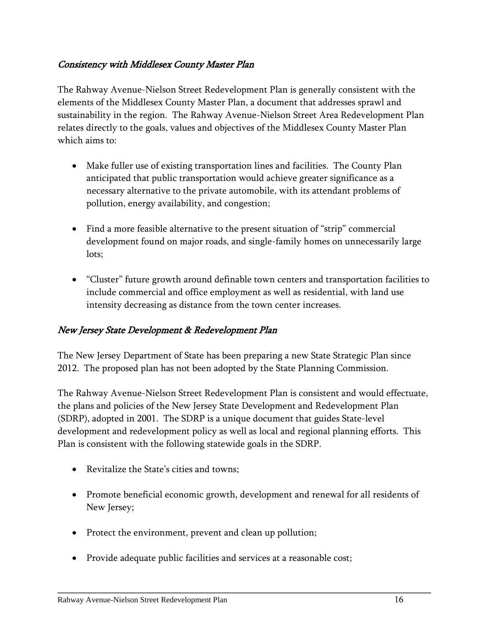## Consistency with Middlesex County Master Plan

The Rahway Avenue-Nielson Street Redevelopment Plan is generally consistent with the elements of the Middlesex County Master Plan, a document that addresses sprawl and sustainability in the region. The Rahway Avenue-Nielson Street Area Redevelopment Plan relates directly to the goals, values and objectives of the Middlesex County Master Plan which aims to:

- Make fuller use of existing transportation lines and facilities. The County Plan anticipated that public transportation would achieve greater significance as a necessary alternative to the private automobile, with its attendant problems of pollution, energy availability, and congestion;
- Find a more feasible alternative to the present situation of "strip" commercial development found on major roads, and single-family homes on unnecessarily large lots;
- "Cluster" future growth around definable town centers and transportation facilities to include commercial and office employment as well as residential, with land use intensity decreasing as distance from the town center increases.

## New Jersey State Development & Redevelopment Plan

The New Jersey Department of State has been preparing a new State Strategic Plan since 2012. The proposed plan has not been adopted by the State Planning Commission.

The Rahway Avenue-Nielson Street Redevelopment Plan is consistent and would effectuate, the plans and policies of the New Jersey State Development and Redevelopment Plan (SDRP), adopted in 2001. The SDRP is a unique document that guides State-level development and redevelopment policy as well as local and regional planning efforts. This Plan is consistent with the following statewide goals in the SDRP.

- Revitalize the State's cities and towns;
- Promote beneficial economic growth, development and renewal for all residents of New Jersey;

- Protect the environment, prevent and clean up pollution;
- Provide adequate public facilities and services at a reasonable cost;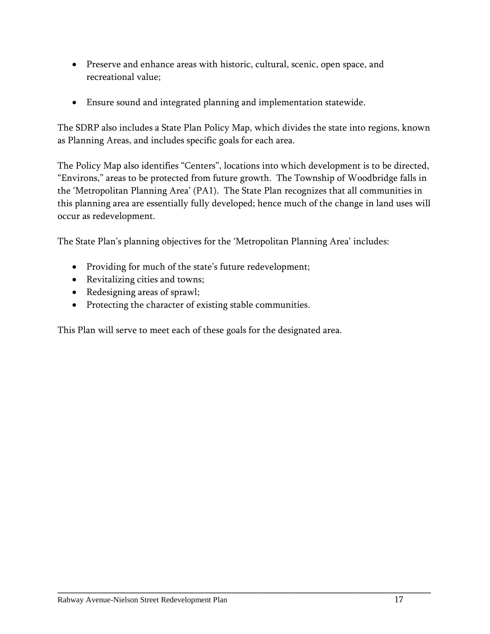- Preserve and enhance areas with historic, cultural, scenic, open space, and recreational value;
- Ensure sound and integrated planning and implementation statewide.

The SDRP also includes a State Plan Policy Map, which divides the state into regions, known as Planning Areas, and includes specific goals for each area.

The Policy Map also identifies "Centers", locations into which development is to be directed, "Environs," areas to be protected from future growth. The Township of Woodbridge falls in the 'Metropolitan Planning Area' (PA1). The State Plan recognizes that all communities in this planning area are essentially fully developed; hence much of the change in land uses will occur as redevelopment.

\_\_\_\_\_\_\_\_\_\_\_\_\_\_\_\_\_\_\_\_\_\_\_\_\_\_\_\_\_\_\_\_\_\_\_\_\_\_\_\_\_\_\_\_\_\_\_\_\_\_\_\_\_\_\_\_\_\_\_\_\_\_\_\_\_\_\_\_\_\_

The State Plan's planning objectives for the 'Metropolitan Planning Area' includes:

- Providing for much of the state's future redevelopment;
- Revitalizing cities and towns;
- Redesigning areas of sprawl;
- Protecting the character of existing stable communities.

This Plan will serve to meet each of these goals for the designated area.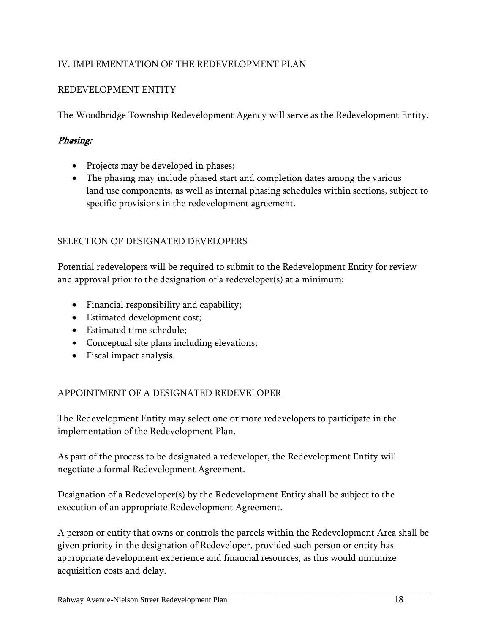## <span id="page-20-0"></span>IV. IMPLEMENTATION OF THE REDEVELOPMENT PLAN

## REDEVELOPMENT ENTITY

The Woodbridge Township Redevelopment Agency will serve as the Redevelopment Entity.

## Phasing:

- Projects may be developed in phases;
- The phasing may include phased start and completion dates among the various land use components, as well as internal phasing schedules within sections, subject to specific provisions in the redevelopment agreement.

## SELECTION OF DESIGNATED DEVELOPERS

Potential redevelopers will be required to submit to the Redevelopment Entity for review and approval prior to the designation of a redeveloper(s) at a minimum:

- Financial responsibility and capability;
- Estimated development cost;
- Estimated time schedule;
- Conceptual site plans including elevations;
- Fiscal impact analysis.

## APPOINTMENT OF A DESIGNATED REDEVELOPER

The Redevelopment Entity may select one or more redevelopers to participate in the implementation of the Redevelopment Plan.

As part of the process to be designated a redeveloper, the Redevelopment Entity will negotiate a formal Redevelopment Agreement.

Designation of a Redeveloper(s) by the Redevelopment Entity shall be subject to the execution of an appropriate Redevelopment Agreement.

A person or entity that owns or controls the parcels within the Redevelopment Area shall be given priority in the designation of Redeveloper, provided such person or entity has appropriate development experience and financial resources, as this would minimize acquisition costs and delay.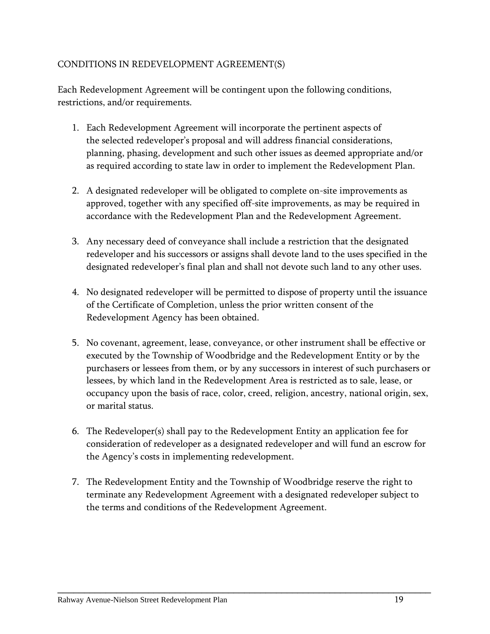## CONDITIONS IN REDEVELOPMENT AGREEMENT(S)

Each Redevelopment Agreement will be contingent upon the following conditions, restrictions, and/or requirements.

- 1. Each Redevelopment Agreement will incorporate the pertinent aspects of the selected redeveloper's proposal and will address financial considerations, planning, phasing, development and such other issues as deemed appropriate and/or as required according to state law in order to implement the Redevelopment Plan.
- 2. A designated redeveloper will be obligated to complete on-site improvements as approved, together with any specified off-site improvements, as may be required in accordance with the Redevelopment Plan and the Redevelopment Agreement.
- 3. Any necessary deed of conveyance shall include a restriction that the designated redeveloper and his successors or assigns shall devote land to the uses specified in the designated redeveloper's final plan and shall not devote such land to any other uses.
- 4. No designated redeveloper will be permitted to dispose of property until the issuance of the Certificate of Completion, unless the prior written consent of the Redevelopment Agency has been obtained.
- 5. No covenant, agreement, lease, conveyance, or other instrument shall be effective or executed by the Township of Woodbridge and the Redevelopment Entity or by the purchasers or lessees from them, or by any successors in interest of such purchasers or lessees, by which land in the Redevelopment Area is restricted as to sale, lease, or occupancy upon the basis of race, color, creed, religion, ancestry, national origin, sex, or marital status.
- 6. The Redeveloper(s) shall pay to the Redevelopment Entity an application fee for consideration of redeveloper as a designated redeveloper and will fund an escrow for the Agency's costs in implementing redevelopment.
- 7. The Redevelopment Entity and the Township of Woodbridge reserve the right to terminate any Redevelopment Agreement with a designated redeveloper subject to the terms and conditions of the Redevelopment Agreement.